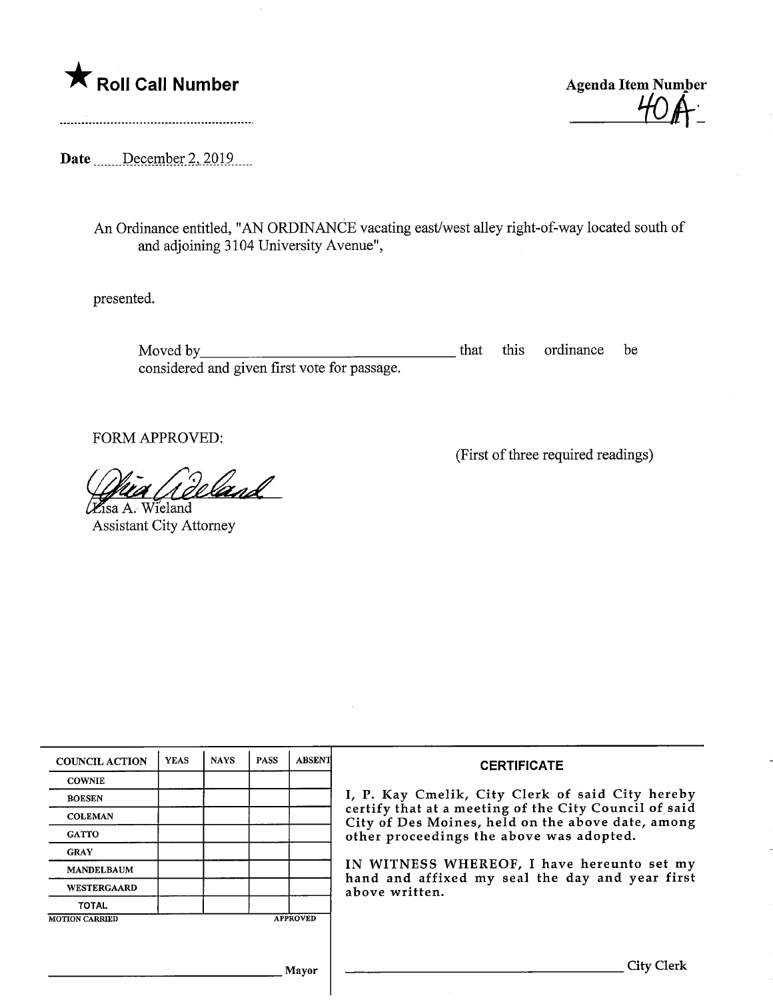



Date .......December 2, 2019....

An Ordinance entitled, "AN ORDINANCE vacating east/west alley right-of-way located south of and adjoining 3104 University Avenue",

presented.

Moved by <u>entitled</u> be that this ordinance be the this ordinance be the this ordinance be the this ordinance be the this ordinance be the this ordinance be the this ordinance be the this ordinance be the this ordinance of considered and given first vote for passage.

FORM APPROVED:

(First of three required readings)

<u>land</u>  $\mu$ 

Isa A. Wieland Assistant City Attorney

| <b>COUNCIL ACTION</b> | <b>YEAS</b> | <b>NAYS</b> | <b>PASS</b> | <b>ABSENT</b>   | <b>CERTIFICATE</b>                                                                                         |  |  |
|-----------------------|-------------|-------------|-------------|-----------------|------------------------------------------------------------------------------------------------------------|--|--|
| <b>COWNIE</b>         |             |             |             |                 |                                                                                                            |  |  |
| <b>BOESEN</b>         |             |             |             |                 | I, P. Kay Cmelik, City Clerk of said City hereby                                                           |  |  |
| <b>COLEMAN</b>        |             |             |             |                 | certify that at a meeting of the City Council of said<br>City of Des Moines, held on the above date, among |  |  |
| <b>GATTO</b>          |             |             |             |                 | other proceedings the above was adopted.                                                                   |  |  |
| <b>GRAY</b>           |             |             |             |                 |                                                                                                            |  |  |
| <b>MANDELBAUM</b>     |             |             |             |                 | IN WITNESS WHEREOF, I have hereunto set my                                                                 |  |  |
| <b>WESTERGAARD</b>    |             |             |             |                 | hand and affixed my seal the day and year first<br>above written.                                          |  |  |
| <b>TOTAL</b>          |             |             |             |                 |                                                                                                            |  |  |
| <b>MOTION CARRIED</b> |             |             |             | <b>APPROVED</b> |                                                                                                            |  |  |
|                       |             |             |             |                 |                                                                                                            |  |  |
|                       |             |             |             |                 |                                                                                                            |  |  |
| Mayor                 |             |             |             |                 | _1tv                                                                                                       |  |  |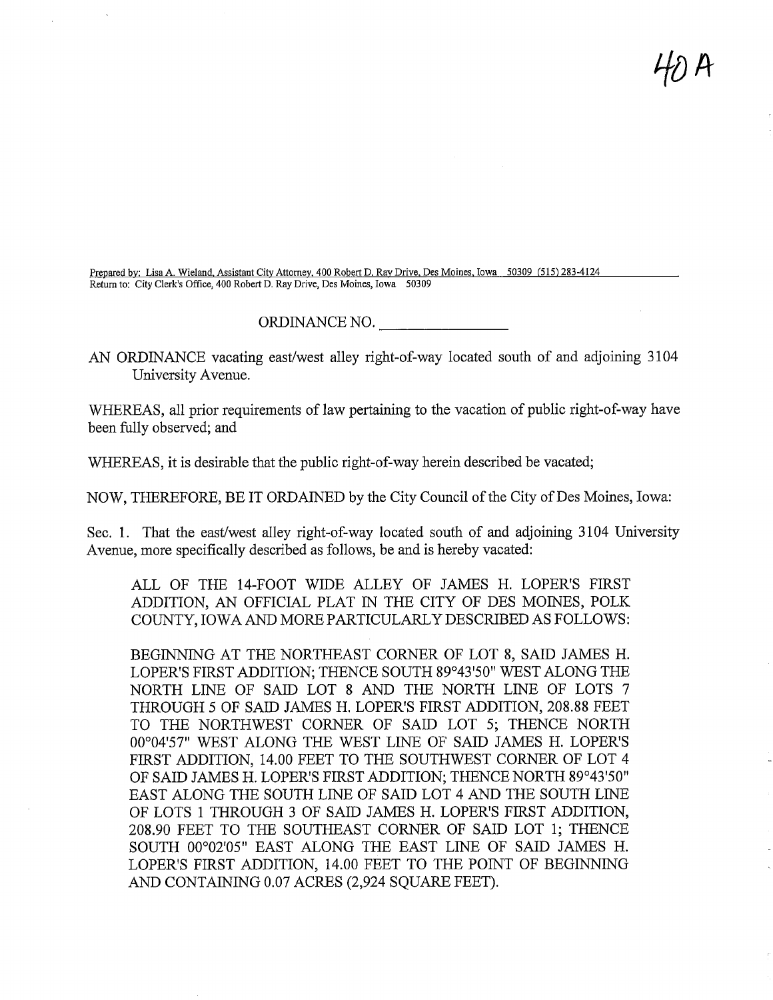$\mathcal{H}$ D A

Prepared by: Lisa A. Wieland. Assistant City Attorney. 400 Robert D. Ray Drive. Des Moines. Iowa 50309 (515) 283-4124 Return to: City Clerk's Office, 400 Robert D. Ray Drive, Des Moines, Iowa 50309

## ORDINANCE NO.

AN ORDINANCE vacating east/west alley right-of-way located south of and adjoining 3104 University Avenue.

WHEREAS, all prior requirements of law pertaining to the vacation of public right-of-way have been fully observed; and

WHEREAS, it is desirable that the public right-of-way herein described be vacated;

NOW, THEREFORE, BE IT ORDAINED by the City Council of the City of Des Moines, Iowa:

Sec. 1. That the east/west alley right-of-way located south of and adjoining 3104 University Avenue, more specifically described as follows, be and is hereby vacated:

ALL OF THE 14-FOOT WIDE ALLEY OF JAMES H. LOPER'S FIRST ADDITION, AN OFFICIAL PLAT IN THE CITY OF DES MOINES, POLK COUNTY, IOWA AND MORE PARTICULARLY DESCRIBED AS FOLLOWS:

BEGINNING AT THE NORTHEAST CORNER OF LOT 8, SAID JAMES H. LOPER'S FIRST ADDITION; THENCE SOUTH 89°43'50" WEST ALONG THE NORTH LINE OF SAID LOT 8 AND THE NORTH LINE OF LOTS 7 THROUGH 5 OF SAID JAMES H. LOPER'S FIRST ADDITION, 208.88 FEET TO THE NORTHWEST CORNER OF SAID LOT 5; THENCE NORTH 00°04'57" WEST ALONG THE WEST LINE OF SAID JAMES H. LOPER'S FIRST ADDITION, 14.00 FEET TO THE SOUTHWEST CORNER OF LOT 4 OF SAID JAMES H. LOPER'S FIRST ADDITION; THENCE NORTH 89°43'50" EAST ALONG THE SOUTH LINE OF SAID LOT 4 AND THE SOUTH LINE OF LOTS 1 THROUGH 3 OF SAID JAMES H. LOPER'S FIRST ADDITION, 208.90 FEET TO THE SOUTHEAST CORNER OF SAID LOT 1; THENCE SOUTH 00°02'05" EAST ALONG THE EAST LINE OF SAID JAMES H. LOPER'S FIRST ADDITION, 14.00 FEET TO THE POINT OF BEGINNING AND CONTAINING 0.07 ACRES (2,924 SQUARE FEET).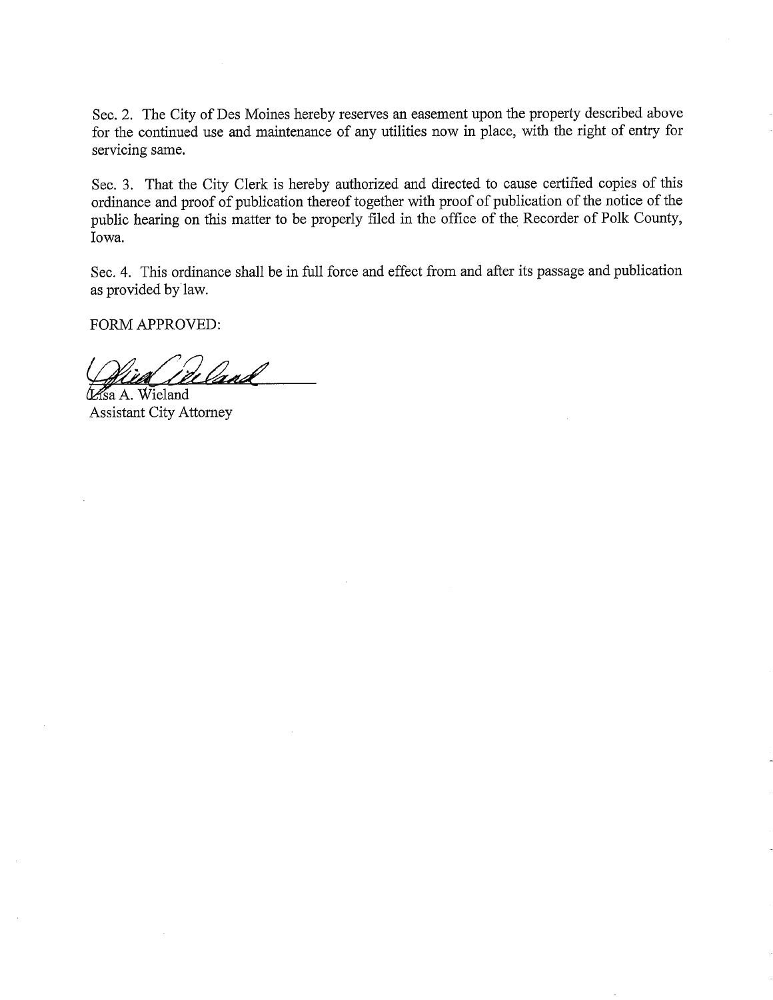Sec. 2. The City of Des Moines hereby reserves an easement upon the property described above for the continued use and maintenance of any utilities now in place, with the right of entry for servicing same.

Sec. 3. That the City Clerk is hereby authorized and directed to cause certified copies of this ordinance and proof of publication thereof together with proof of publication of the notice of the public hearing on this matter to be properly filed in the office of the Recorder of Polk County, Iowa.

Sec. 4. This ordinance shall be in full force and effect from and after its passage and publication as provided by law.

FORM APPROVED:

<u>land</u> *Asa A.* Wieland

Assistant City Attorney